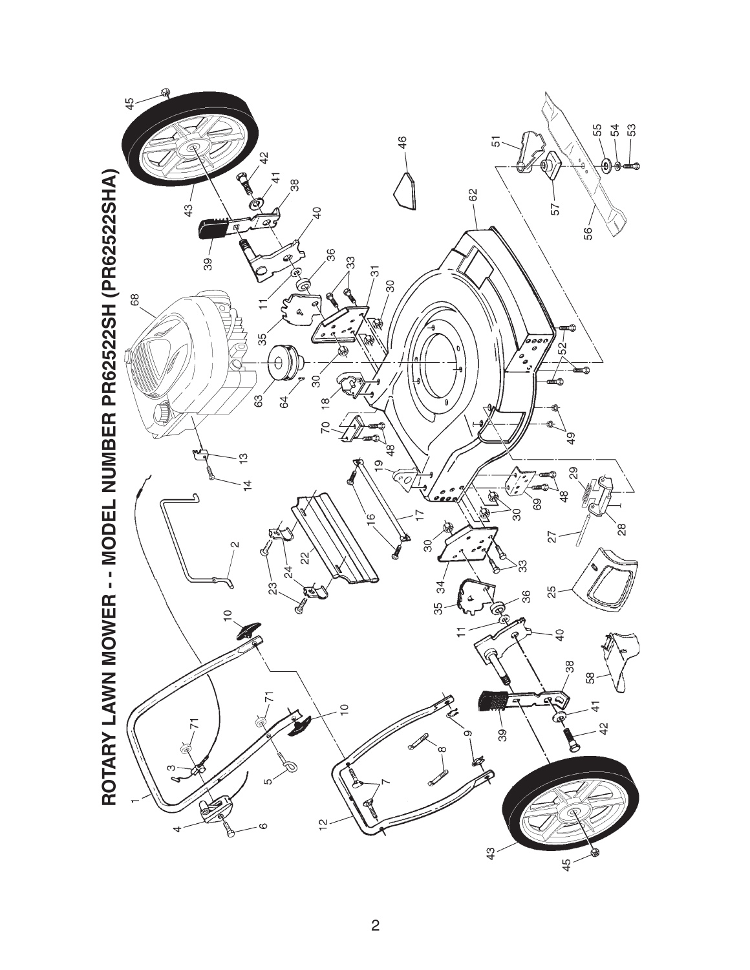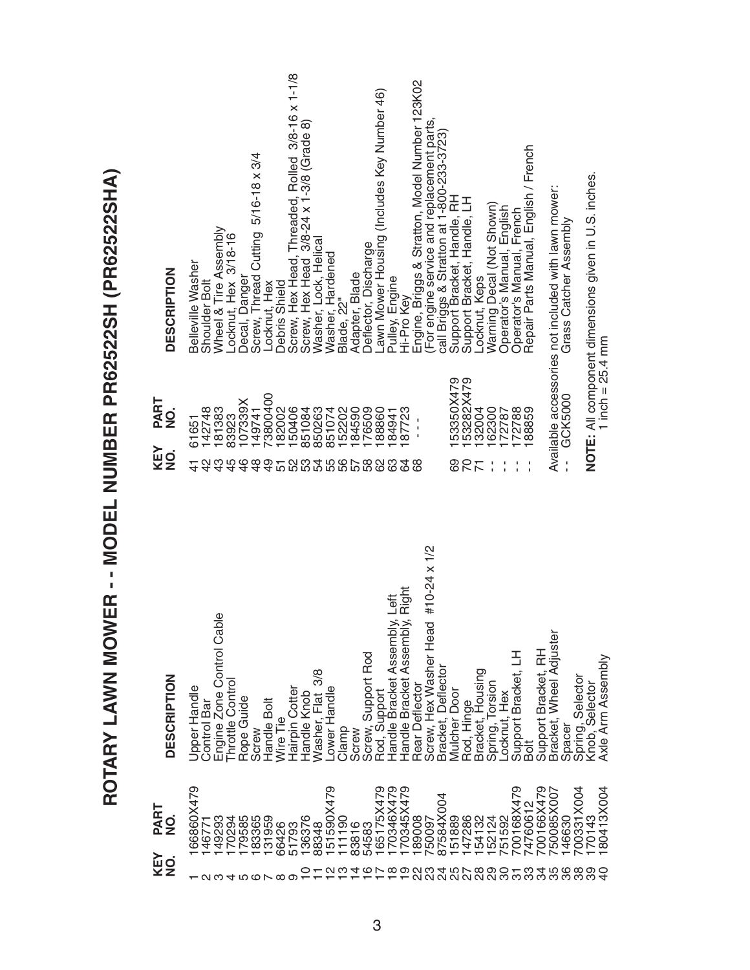ROTARY LAWN MOWER - - MODEL NUMBER PR62522SH (PR62522SHA) **ROTARY LAWN MOWER - - MODEL NUMBER PR62522SH (PR62522SHA)**

| <b>DESCRIPTION</b>                         | Decal, Danger<br>Screw, Thread Cutting 5/16-18 x 3/4<br>Wheel & Tire Assembly<br>-ocknut, Hex 3/18-16<br>Belleville<br>Washer<br>Shoulder Bolt<br>Locknut, Hex | Screw, Hex Head, Threaded, Rolled 3/8-16 x 1-1/8<br>Screw, Hex Head 3/8-24 x 1-3/8 (Grade 8)<br>Lawn Mower Housing (Includes Key Number 46)<br>Washer, Lock, Helical<br>Deflector, Discharge<br>Washer, Hardened<br>Adapter, Blade<br>Pulley, Engine<br>Hi-Pro Key<br>Debris Shield<br>Blade, 22" | Engine, Briggs & Stratton, Model Number 123K02<br>(For engine service and replacement parts,<br>call Briggs & Stratton at 1-800-233-3723)<br>Repair Parts Manual, English / French<br>NOTE: All component dimensions given in U.S. inches.<br>Available accessories not included with lawn mower:<br>Support Bracket, Handle, RH<br>Support Bracket, Handle, LH<br>Locknut, Keps<br>Warning Decal (Not Shown)<br>Operator's Manual, English <sup>'</sup><br>Operator's Manual, French<br>Grass Catcher Assembly |
|--------------------------------------------|----------------------------------------------------------------------------------------------------------------------------------------------------------------|---------------------------------------------------------------------------------------------------------------------------------------------------------------------------------------------------------------------------------------------------------------------------------------------------|-----------------------------------------------------------------------------------------------------------------------------------------------------------------------------------------------------------------------------------------------------------------------------------------------------------------------------------------------------------------------------------------------------------------------------------------------------------------------------------------------------------------|
| PART<br>$\frac{1}{2}$<br><b>KEY</b><br>NO. | 73800400<br>107339X<br>142748<br>181383<br>149741<br>83923<br>61651<br>$\frac{3}{4}$<br>48<br>$\frac{6}{7}$                                                    | 150406<br>182002<br>152202<br>84590<br>76509<br>851084<br>850263<br>851074<br>88860<br>87723<br>84941<br><b>2224567899</b><br>22456789<br>63<br>24                                                                                                                                                | 1 inch = $25.4$ mm<br>53350X479<br>53282X479<br>GCK5000<br>32004<br>62300<br>172788<br>88859<br>172787<br>$\mathbf{I}$<br>ï<br>$\frac{1}{1}$<br>20<br>88<br>ගි<br>l,<br>J,<br>$\frac{1}{1}$<br>$\frac{1}{1}$<br>$\overline{5}$                                                                                                                                                                                                                                                                                  |
| <b>DESCRIPTION</b>                         | Ф<br>Engine Zone Control Cabl<br>Throttle Control<br>Upper Handle<br>Rope Guide<br>Handle Bolt<br>Control Bar<br>Screw                                         | Right<br>te<br>Le<br>Handle Bracket Assembly,<br>Handle Bracket Assembly,<br>Screw, Support Rod<br>3/8<br>Hairpin Cotter<br>Lower Handle<br>Rod, Support<br>Washer, Flat<br>Handle Knob<br>Wire Tie<br>Clamp<br>Screw                                                                             | #10-24 x 1/2<br>Screw, Hex Washer Head<br>Bracket, Wheel Adjuster<br>Support Bracket, RH<br>Support Bracket, LH<br>Axle Arm Assembly<br>Bracket, Deflecto<br>Bracket, Housing<br>Spring, Torsion<br>Selecto<br>Spring, Selector<br>Knob, Selector<br>Rear Deflector<br>Mulcher Door<br>Hex<br>Rod, Hinge<br>Locknut,<br>Spacer<br>Bolt                                                                                                                                                                          |
| PART<br>$\frac{1}{2}$<br><b>KEY</b><br>NO. | 66860X479<br>183365<br>49293<br>170294<br>179585<br>131959<br>146771<br>ო<br>4 10 10 1                                                                         | 151590X479<br>165175X479<br>170346X479<br>170345X479<br>136376<br>111190<br>54583<br>66426<br>51793<br>88348<br>83816<br>လက<br>c<br>4<br>ဖ<br>$\infty$<br>$\sum$<br>တ<br>ထ တ                                                                                                                      | 00166X479<br>50085X007<br>700168X479<br>00331X004<br>80413X004<br>87584X004<br>4760612<br>750097<br>147286<br>70143<br>189008<br>151889<br>154132<br>152124<br>51592<br>46630<br>ನಿ<br>23<br>28<br>88<br>ကွ<br>35<br>36<br>24<br>85<br>20<br>္က<br>ನೆ<br>္က<br>တွ<br>5                                                                                                                                                                                                                                          |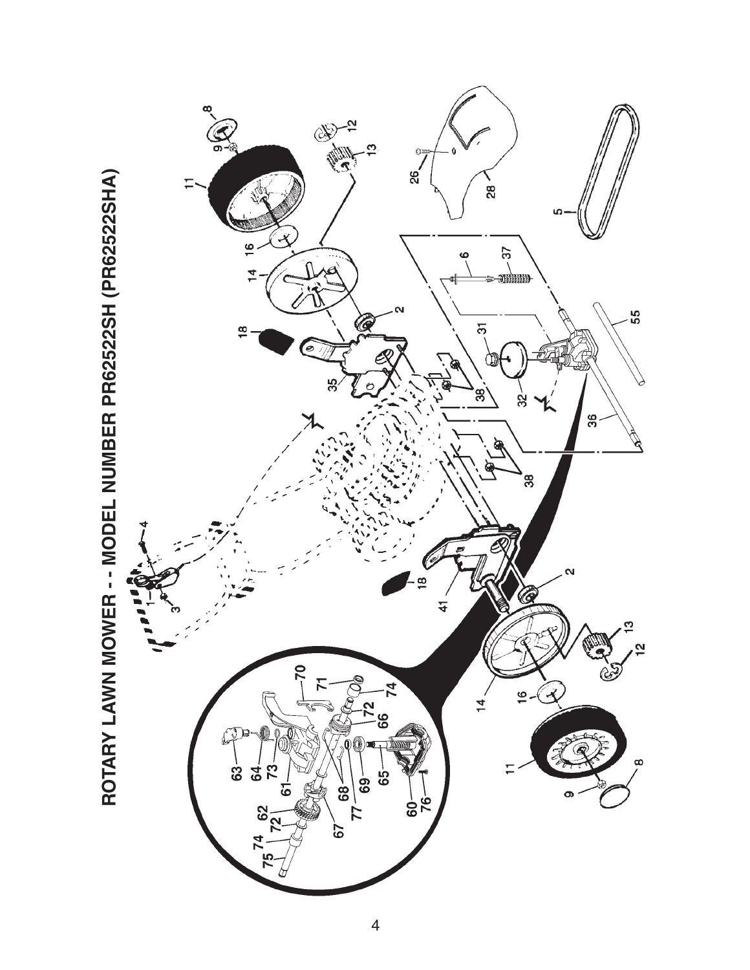

ROTARY LAWN MOWER - - MODEL NUMBER PR62522SH (PR62522SHA) **ROTARY LAWN MOWER - - MODEL NUMBER PR62522SH (PR62522SHA)**